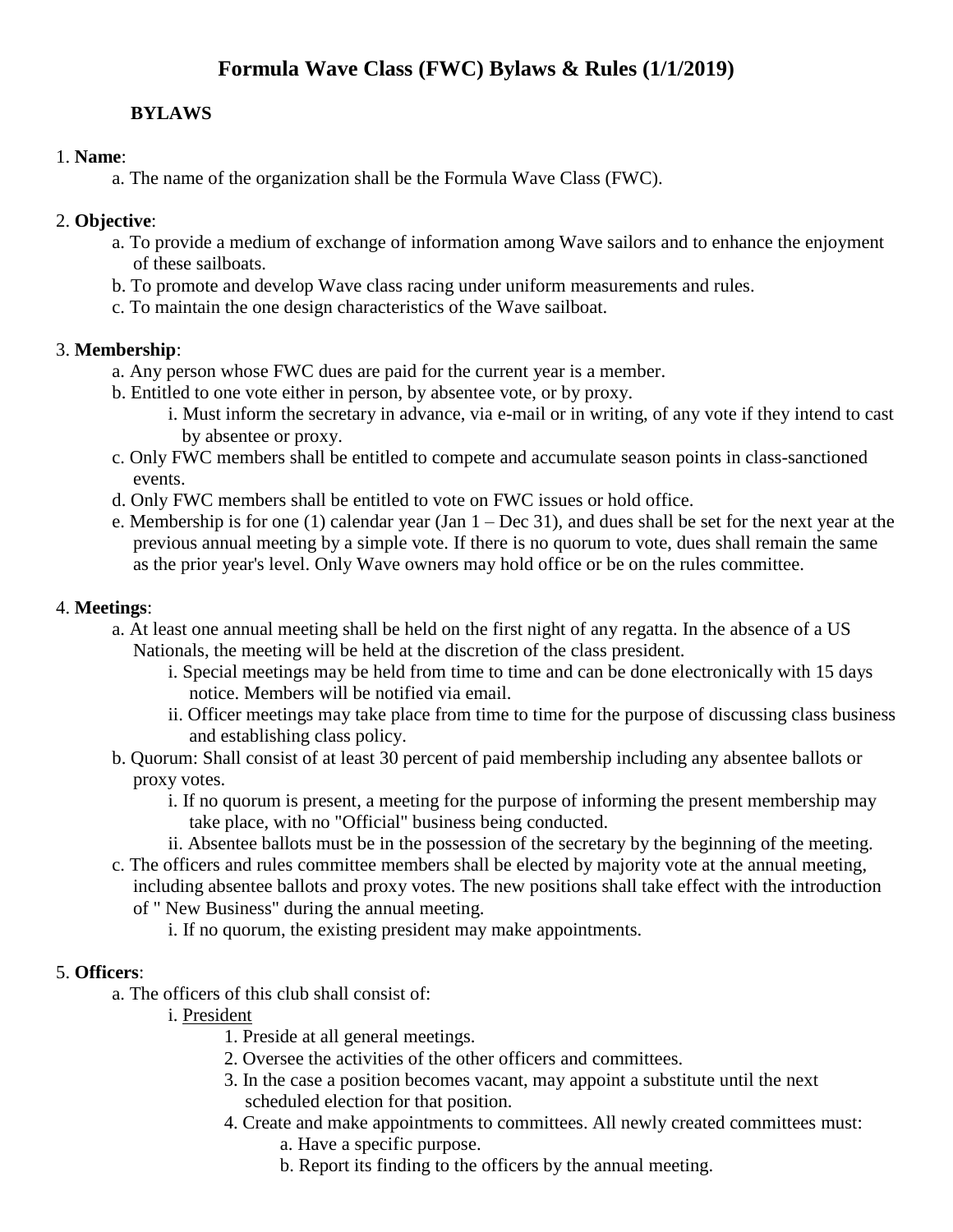# **Formula Wave Class (FWC) Bylaws & Rules (1/1/2019)**

# **BYLAWS**

#### 1. **Name**:

a. The name of the organization shall be the Formula Wave Class (FWC).

#### 2. **Objective**:

- a. To provide a medium of exchange of information among Wave sailors and to enhance the enjoyment of these sailboats.
- b. To promote and develop Wave class racing under uniform measurements and rules.
- c. To maintain the one design characteristics of the Wave sailboat.

### 3. **Membership**:

- a. Any person whose FWC dues are paid for the current year is a member.
- b. Entitled to one vote either in person, by absentee vote, or by proxy.
	- i. Must inform the secretary in advance, via e-mail or in writing, of any vote if they intend to cast by absentee or proxy.
- c. Only FWC members shall be entitled to compete and accumulate season points in class-sanctioned events.
- d. Only FWC members shall be entitled to vote on FWC issues or hold office.
- e. Membership is for one (1) calendar year (Jan  $1 Dec 31$ ), and dues shall be set for the next year at the previous annual meeting by a simple vote. If there is no quorum to vote, dues shall remain the same as the prior year's level. Only Wave owners may hold office or be on the rules committee.

#### 4. **Meetings**:

- a. At least one annual meeting shall be held on the first night of any regatta. In the absence of a US Nationals, the meeting will be held at the discretion of the class president.
	- i. Special meetings may be held from time to time and can be done electronically with 15 days notice. Members will be notified via email.
	- ii. Officer meetings may take place from time to time for the purpose of discussing class business and establishing class policy.
- b. Quorum: Shall consist of at least 30 percent of paid membership including any absentee ballots or proxy votes.
	- i. If no quorum is present, a meeting for the purpose of informing the present membership may take place, with no "Official" business being conducted.
	- ii. Absentee ballots must be in the possession of the secretary by the beginning of the meeting.
- c. The officers and rules committee members shall be elected by majority vote at the annual meeting, including absentee ballots and proxy votes. The new positions shall take effect with the introduction
	- of " New Business" during the annual meeting.
		- i. If no quorum, the existing president may make appointments.

# 5. **Officers**:

- a. The officers of this club shall consist of:
	- i. President
		- 1. Preside at all general meetings.
		- 2. Oversee the activities of the other officers and committees.
		- 3. In the case a position becomes vacant, may appoint a substitute until the next scheduled election for that position.
		- 4. Create and make appointments to committees. All newly created committees must: a. Have a specific purpose.
			- b. Report its finding to the officers by the annual meeting.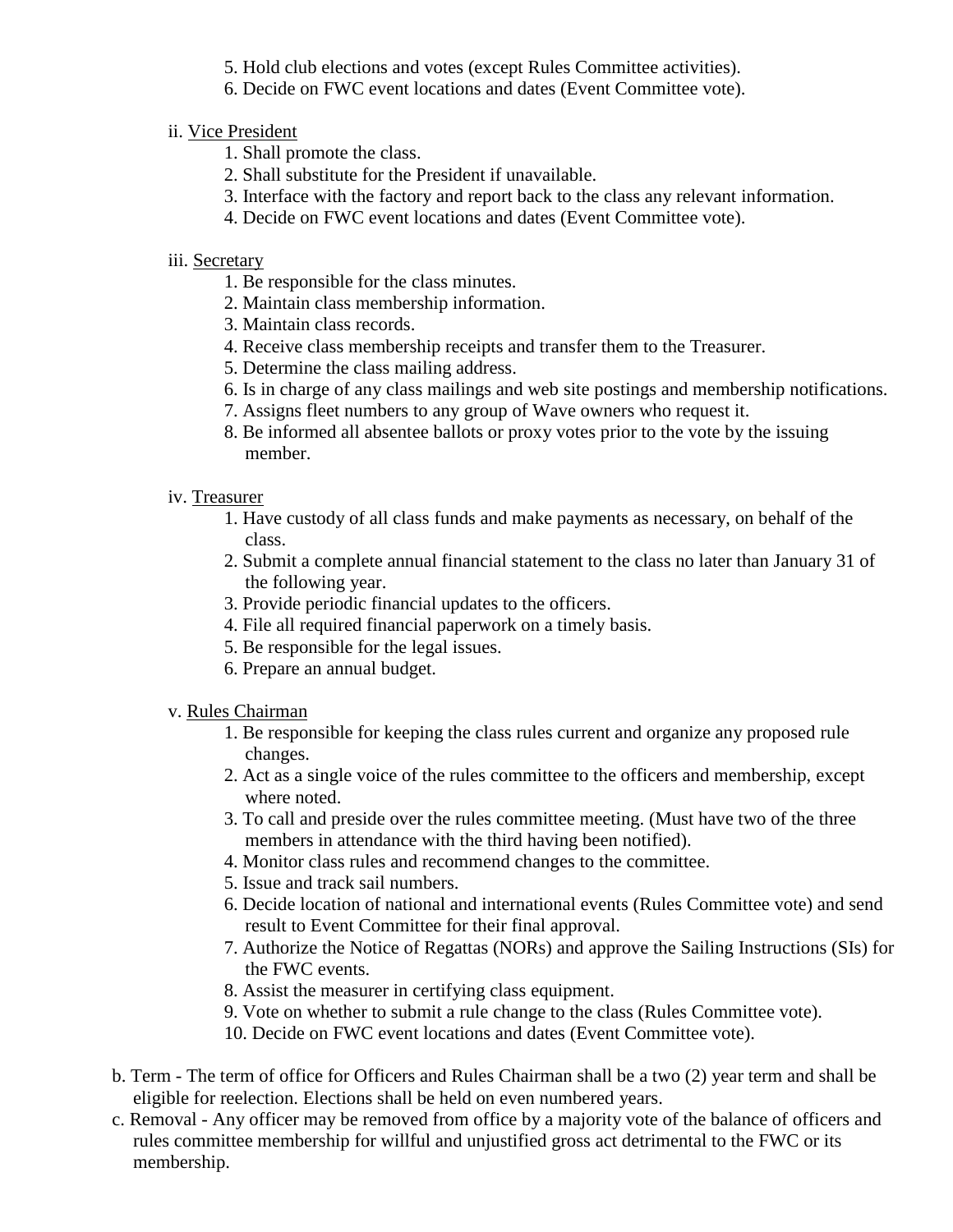- 5. Hold club elections and votes (except Rules Committee activities).
- 6. Decide on FWC event locations and dates (Event Committee vote).
- ii. Vice President
	- 1. Shall promote the class.
	- 2. Shall substitute for the President if unavailable.
	- 3. Interface with the factory and report back to the class any relevant information.
	- 4. Decide on FWC event locations and dates (Event Committee vote).
- iii. Secretary
	- 1. Be responsible for the class minutes.
	- 2. Maintain class membership information.
	- 3. Maintain class records.
	- 4. Receive class membership receipts and transfer them to the Treasurer.
	- 5. Determine the class mailing address.
	- 6. Is in charge of any class mailings and web site postings and membership notifications.
	- 7. Assigns fleet numbers to any group of Wave owners who request it.
	- 8. Be informed all absentee ballots or proxy votes prior to the vote by the issuing member.
- iv. Treasurer
	- 1. Have custody of all class funds and make payments as necessary, on behalf of the class.
	- 2. Submit a complete annual financial statement to the class no later than January 31 of the following year.
	- 3. Provide periodic financial updates to the officers.
	- 4. File all required financial paperwork on a timely basis.
	- 5. Be responsible for the legal issues.
	- 6. Prepare an annual budget.
- v. Rules Chairman
	- 1. Be responsible for keeping the class rules current and organize any proposed rule changes.
	- 2. Act as a single voice of the rules committee to the officers and membership, except where noted.
	- 3. To call and preside over the rules committee meeting. (Must have two of the three members in attendance with the third having been notified).
	- 4. Monitor class rules and recommend changes to the committee.
	- 5. Issue and track sail numbers.
	- 6. Decide location of national and international events (Rules Committee vote) and send result to Event Committee for their final approval.
	- 7. Authorize the Notice of Regattas (NORs) and approve the Sailing Instructions (SIs) for the FWC events.
	- 8. Assist the measurer in certifying class equipment.
	- 9. Vote on whether to submit a rule change to the class (Rules Committee vote).
	- 10. Decide on FWC event locations and dates (Event Committee vote).
- b. Term The term of office for Officers and Rules Chairman shall be a two (2) year term and shall be eligible for reelection. Elections shall be held on even numbered years.
- c. Removal Any officer may be removed from office by a majority vote of the balance of officers and rules committee membership for willful and unjustified gross act detrimental to the FWC or its membership.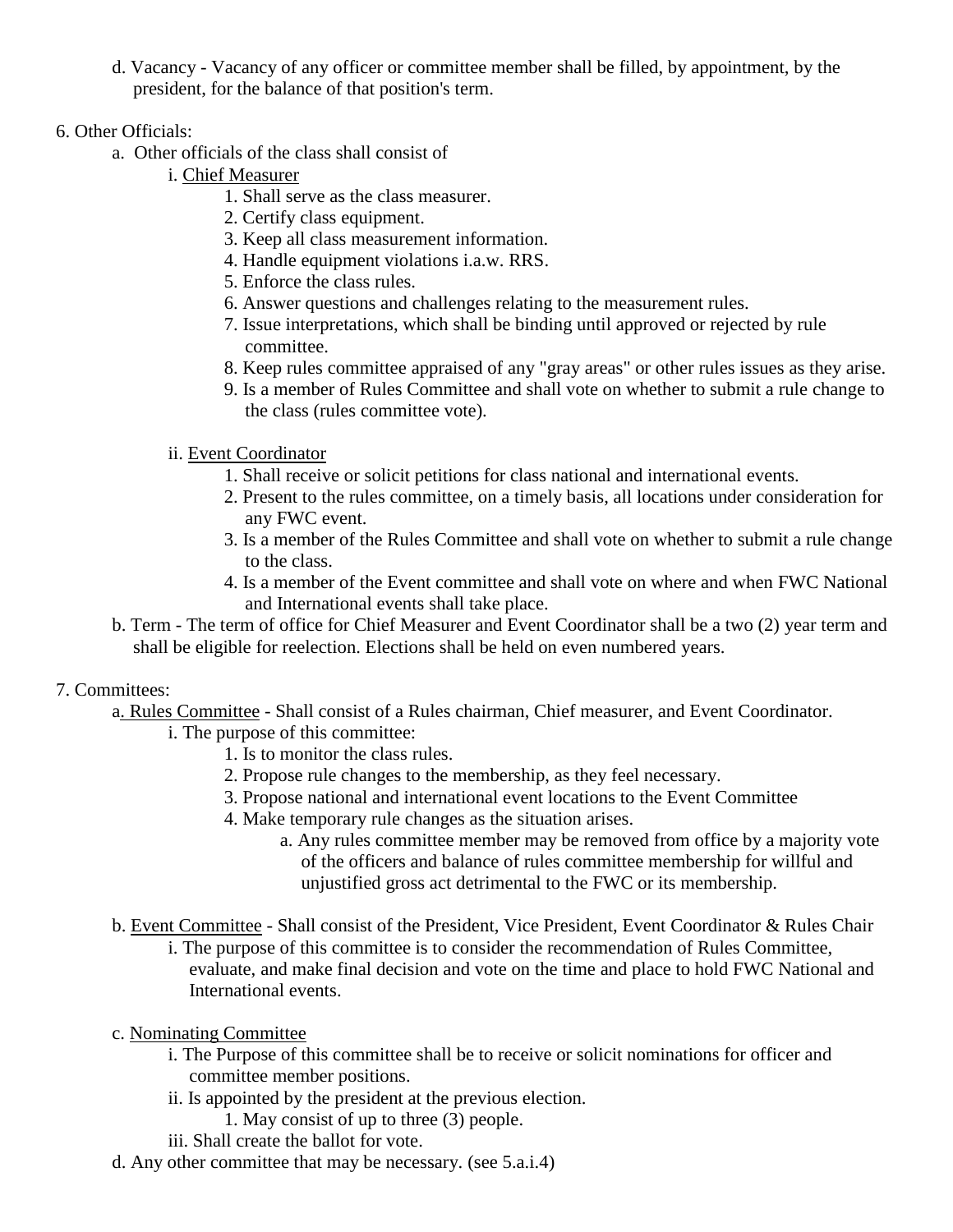- d. Vacancy Vacancy of any officer or committee member shall be filled, by appointment, by the president, for the balance of that position's term.
- 6. Other Officials:
	- a. Other officials of the class shall consist of
		- i. Chief Measurer
			- 1. Shall serve as the class measurer.
			- 2. Certify class equipment.
			- 3. Keep all class measurement information.
			- 4. Handle equipment violations i.a.w. RRS.
			- 5. Enforce the class rules.
			- 6. Answer questions and challenges relating to the measurement rules.
			- 7. Issue interpretations, which shall be binding until approved or rejected by rule committee.
			- 8. Keep rules committee appraised of any "gray areas" or other rules issues as they arise.
			- 9. Is a member of Rules Committee and shall vote on whether to submit a rule change to the class (rules committee vote).

# ii. Event Coordinator

- 1. Shall receive or solicit petitions for class national and international events.
- 2. Present to the rules committee, on a timely basis, all locations under consideration for any FWC event.
- 3. Is a member of the Rules Committee and shall vote on whether to submit a rule change to the class.
- 4. Is a member of the Event committee and shall vote on where and when FWC National and International events shall take place.
- b. Term The term of office for Chief Measurer and Event Coordinator shall be a two (2) year term and shall be eligible for reelection. Elections shall be held on even numbered years.

# 7. Committees:

- a. Rules Committee Shall consist of a Rules chairman, Chief measurer, and Event Coordinator.
	- i. The purpose of this committee:
		- 1. Is to monitor the class rules.
		- 2. Propose rule changes to the membership, as they feel necessary.
		- 3. Propose national and international event locations to the Event Committee
		- 4. Make temporary rule changes as the situation arises.
			- a. Any rules committee member may be removed from office by a majority vote of the officers and balance of rules committee membership for willful and unjustified gross act detrimental to the FWC or its membership.
- b. Event Committee Shall consist of the President, Vice President, Event Coordinator & Rules Chair
	- i. The purpose of this committee is to consider the recommendation of Rules Committee, evaluate, and make final decision and vote on the time and place to hold FWC National and International events.
- c. Nominating Committee
	- i. The Purpose of this committee shall be to receive or solicit nominations for officer and committee member positions.
	- ii. Is appointed by the president at the previous election.
		- 1. May consist of up to three (3) people.
	- iii. Shall create the ballot for vote.
- d. Any other committee that may be necessary. (see 5.a.i.4)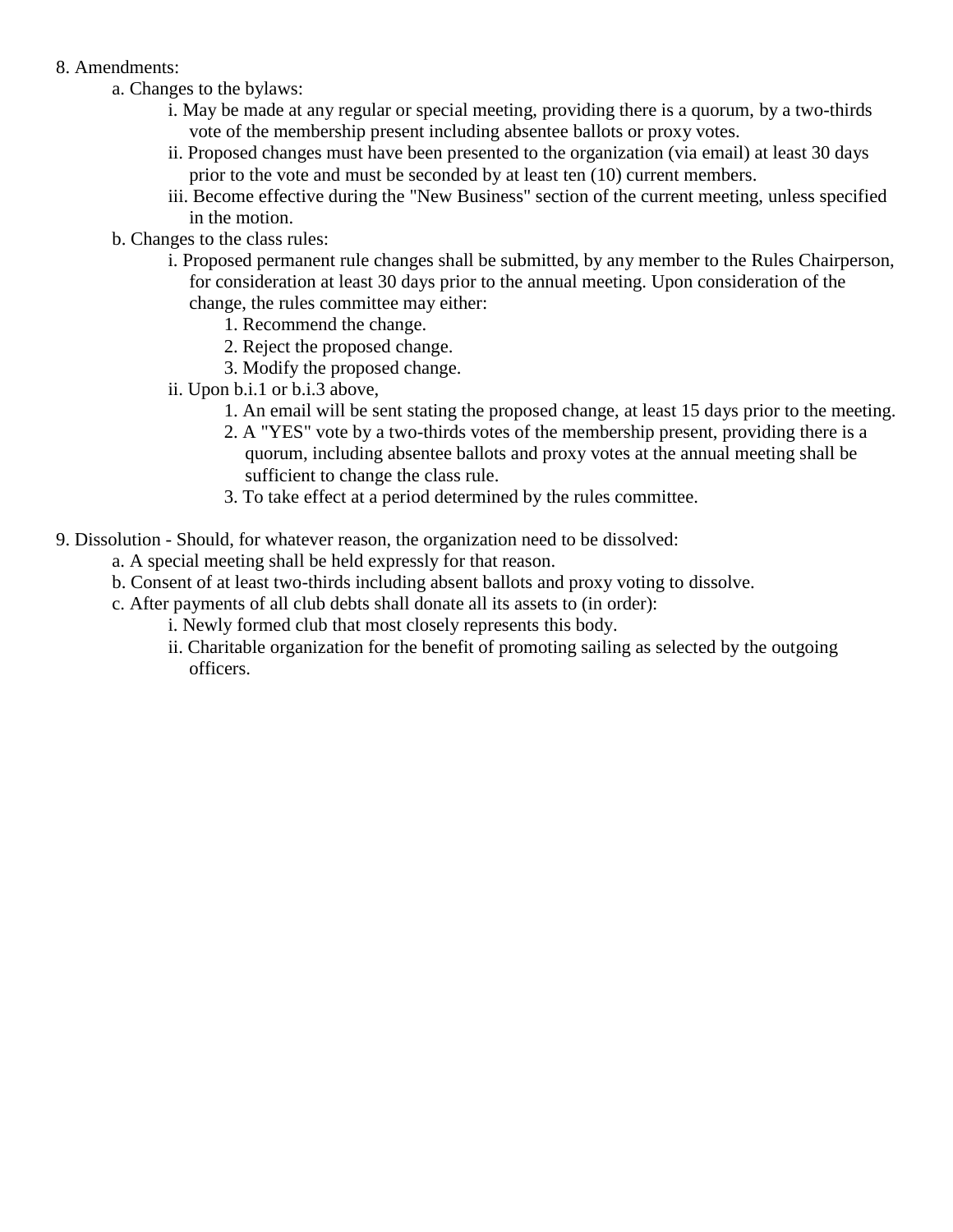#### 8. Amendments:

- a. Changes to the bylaws:
	- i. May be made at any regular or special meeting, providing there is a quorum, by a two-thirds vote of the membership present including absentee ballots or proxy votes.
	- ii. Proposed changes must have been presented to the organization (via email) at least 30 days prior to the vote and must be seconded by at least ten (10) current members.
	- iii. Become effective during the "New Business" section of the current meeting, unless specified in the motion.
- b. Changes to the class rules:
	- i. Proposed permanent rule changes shall be submitted, by any member to the Rules Chairperson, for consideration at least 30 days prior to the annual meeting. Upon consideration of the change, the rules committee may either:
		- 1. Recommend the change.
		- 2. Reject the proposed change.
		- 3. Modify the proposed change.
	- ii. Upon b.i.1 or b.i.3 above,
		- 1. An email will be sent stating the proposed change, at least 15 days prior to the meeting.
		- 2. A "YES" vote by a two-thirds votes of the membership present, providing there is a quorum, including absentee ballots and proxy votes at the annual meeting shall be sufficient to change the class rule.
		- 3. To take effect at a period determined by the rules committee.
- 9. Dissolution Should, for whatever reason, the organization need to be dissolved:
	- a. A special meeting shall be held expressly for that reason.
	- b. Consent of at least two-thirds including absent ballots and proxy voting to dissolve.
	- c. After payments of all club debts shall donate all its assets to (in order):
		- i. Newly formed club that most closely represents this body.
		- ii. Charitable organization for the benefit of promoting sailing as selected by the outgoing officers.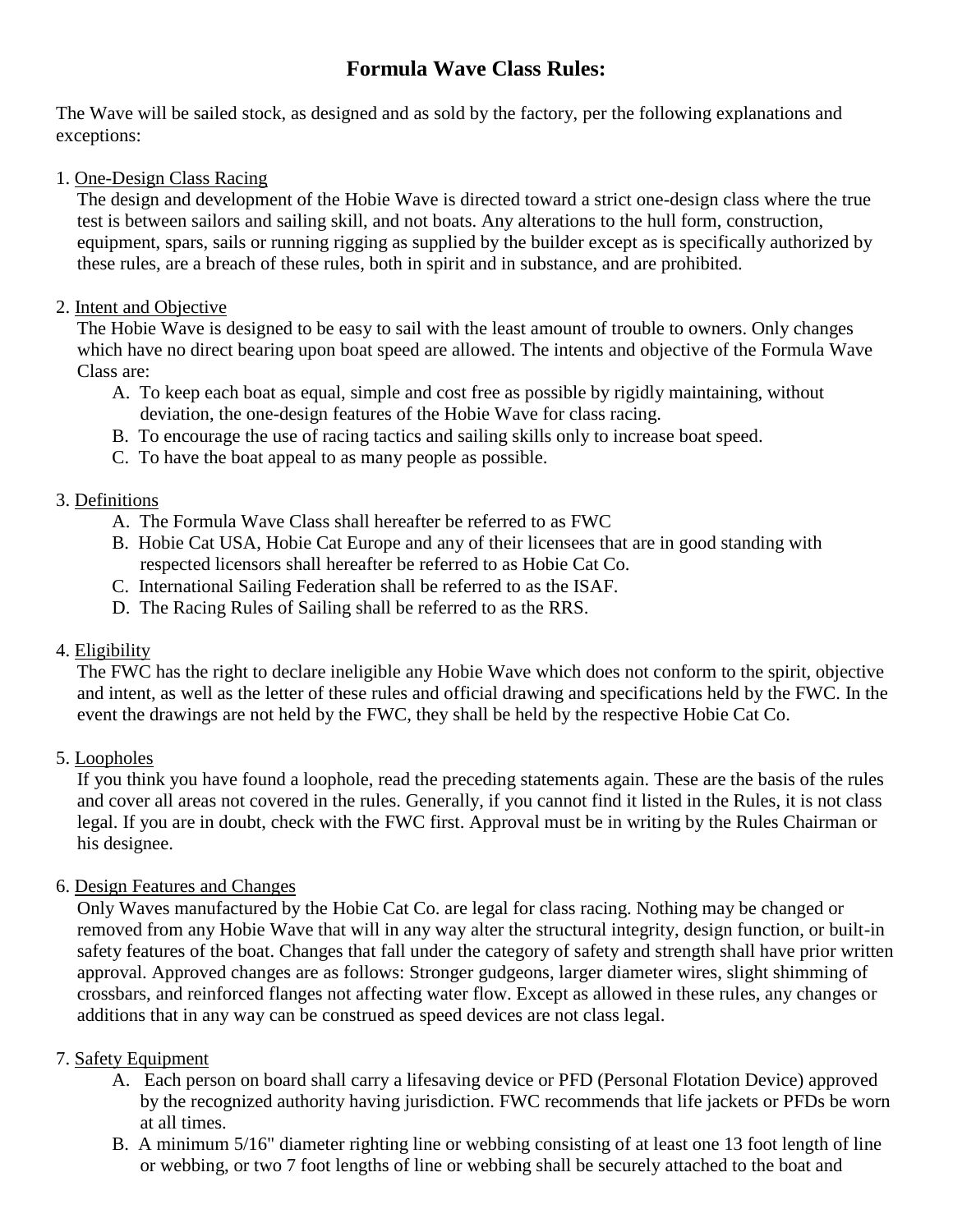# **Formula Wave Class Rules:**

The Wave will be sailed stock, as designed and as sold by the factory, per the following explanations and exceptions:

### 1. One-Design Class Racing

The design and development of the Hobie Wave is directed toward a strict one-design class where the true test is between sailors and sailing skill, and not boats. Any alterations to the hull form, construction, equipment, spars, sails or running rigging as supplied by the builder except as is specifically authorized by these rules, are a breach of these rules, both in spirit and in substance, and are prohibited.

### 2. Intent and Objective

The Hobie Wave is designed to be easy to sail with the least amount of trouble to owners. Only changes which have no direct bearing upon boat speed are allowed. The intents and objective of the Formula Wave Class are:

- A. To keep each boat as equal, simple and cost free as possible by rigidly maintaining, without deviation, the one-design features of the Hobie Wave for class racing.
- B. To encourage the use of racing tactics and sailing skills only to increase boat speed.
- C. To have the boat appeal to as many people as possible.

# 3. Definitions

- A. The Formula Wave Class shall hereafter be referred to as FWC
- B. Hobie Cat USA, Hobie Cat Europe and any of their licensees that are in good standing with respected licensors shall hereafter be referred to as Hobie Cat Co.
- C. International Sailing Federation shall be referred to as the ISAF.
- D. The Racing Rules of Sailing shall be referred to as the RRS.

# 4. Eligibility

The FWC has the right to declare ineligible any Hobie Wave which does not conform to the spirit, objective and intent, as well as the letter of these rules and official drawing and specifications held by the FWC. In the event the drawings are not held by the FWC, they shall be held by the respective Hobie Cat Co.

# 5. Loopholes

If you think you have found a loophole, read the preceding statements again. These are the basis of the rules and cover all areas not covered in the rules. Generally, if you cannot find it listed in the Rules, it is not class legal. If you are in doubt, check with the FWC first. Approval must be in writing by the Rules Chairman or his designee.

# 6. Design Features and Changes

Only Waves manufactured by the Hobie Cat Co. are legal for class racing. Nothing may be changed or removed from any Hobie Wave that will in any way alter the structural integrity, design function, or built-in safety features of the boat. Changes that fall under the category of safety and strength shall have prior written approval. Approved changes are as follows: Stronger gudgeons, larger diameter wires, slight shimming of crossbars, and reinforced flanges not affecting water flow. Except as allowed in these rules, any changes or additions that in any way can be construed as speed devices are not class legal.

# 7. Safety Equipment

- A. Each person on board shall carry a lifesaving device or PFD (Personal Flotation Device) approved by the recognized authority having jurisdiction. FWC recommends that life jackets or PFDs be worn at all times.
- B. A minimum 5/16" diameter righting line or webbing consisting of at least one 13 foot length of line or webbing, or two 7 foot lengths of line or webbing shall be securely attached to the boat and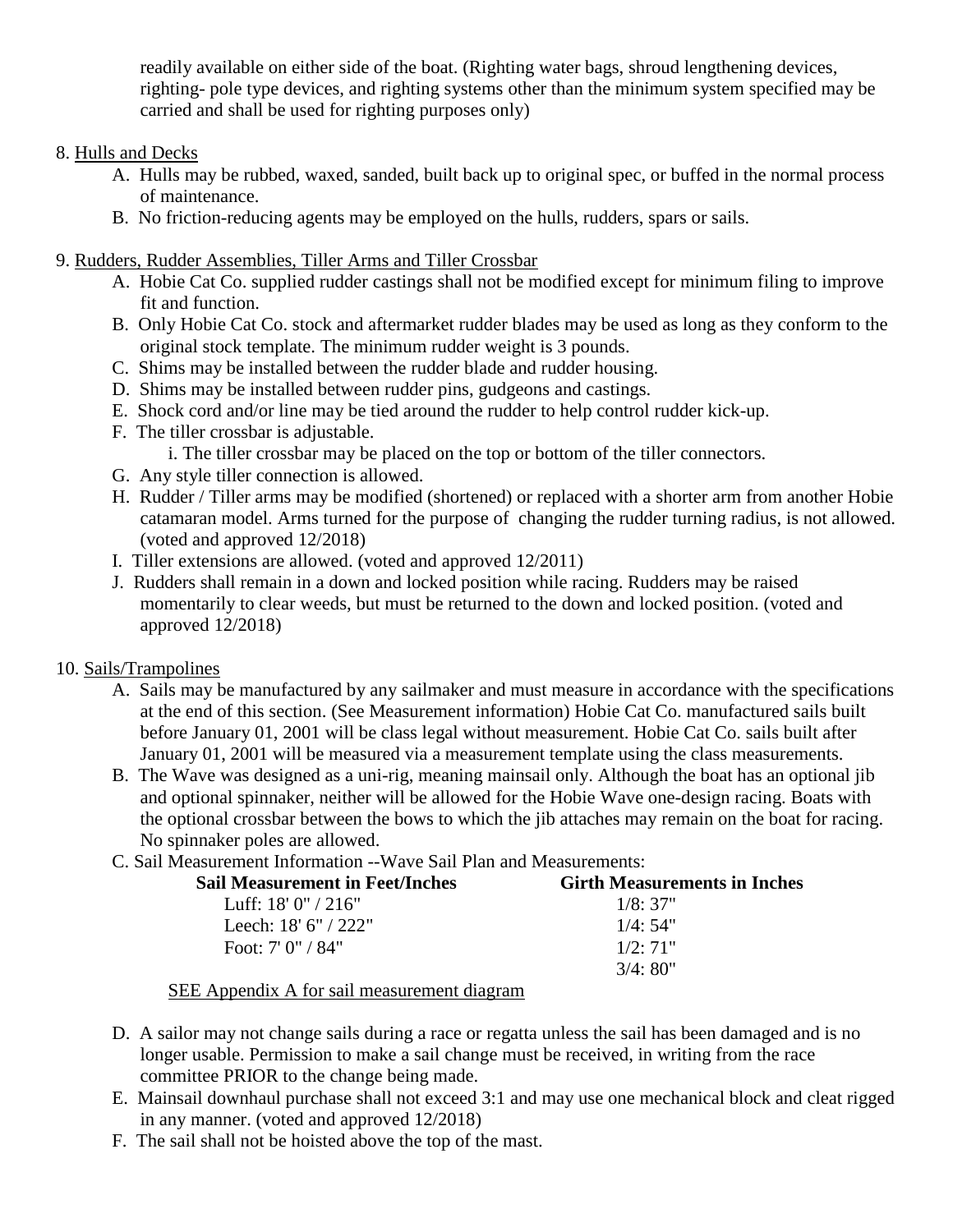readily available on either side of the boat. (Righting water bags, shroud lengthening devices, righting- pole type devices, and righting systems other than the minimum system specified may be carried and shall be used for righting purposes only)

### 8. Hulls and Decks

- A. Hulls may be rubbed, waxed, sanded, built back up to original spec, or buffed in the normal process of maintenance.
- B. No friction-reducing agents may be employed on the hulls, rudders, spars or sails.
- 9. Rudders, Rudder Assemblies, Tiller Arms and Tiller Crossbar
	- A. Hobie Cat Co. supplied rudder castings shall not be modified except for minimum filing to improve fit and function.
	- B. Only Hobie Cat Co. stock and aftermarket rudder blades may be used as long as they conform to the original stock template. The minimum rudder weight is 3 pounds.
	- C. Shims may be installed between the rudder blade and rudder housing.
	- D. Shims may be installed between rudder pins, gudgeons and castings.
	- E. Shock cord and/or line may be tied around the rudder to help control rudder kick-up.
	- F. The tiller crossbar is adjustable.
		- i. The tiller crossbar may be placed on the top or bottom of the tiller connectors.
	- G. Any style tiller connection is allowed.
	- H. Rudder / Tiller arms may be modified (shortened) or replaced with a shorter arm from another Hobie catamaran model. Arms turned for the purpose of changing the rudder turning radius, is not allowed. (voted and approved 12/2018)
	- I. Tiller extensions are allowed. (voted and approved 12/2011)
	- J. Rudders shall remain in a down and locked position while racing. Rudders may be raised momentarily to clear weeds, but must be returned to the down and locked position. (voted and approved 12/2018)

# 10. Sails/Trampolines

- A. Sails may be manufactured by any sailmaker and must measure in accordance with the specifications at the end of this section. (See Measurement information) Hobie Cat Co. manufactured sails built before January 01, 2001 will be class legal without measurement. Hobie Cat Co. sails built after January 01, 2001 will be measured via a measurement template using the class measurements.
- B. The Wave was designed as a uni-rig, meaning mainsail only. Although the boat has an optional jib and optional spinnaker, neither will be allowed for the Hobie Wave one-design racing. Boats with the optional crossbar between the bows to which the jib attaches may remain on the boat for racing. No spinnaker poles are allowed.
- C. Sail Measurement Information --Wave Sail Plan and Measurements:

| <b>Sail Measurement in Feet/Inches</b> | <b>Girth Measurements in Inches</b> |
|----------------------------------------|-------------------------------------|
| Luff: $18'0''/216''$                   | 1/8:37"                             |
| Leech: $18' 6'' / 222''$               | 1/4:54"                             |
| Foot: $7'$ 0" / 84"                    | $1/2 \cdot 71$ "                    |
|                                        | 3/4:80"                             |

#### SEE Appendix A for sail measurement diagram

- D. A sailor may not change sails during a race or regatta unless the sail has been damaged and is no longer usable. Permission to make a sail change must be received, in writing from the race committee PRIOR to the change being made.
- E. Mainsail downhaul purchase shall not exceed 3:1 and may use one mechanical block and cleat rigged in any manner. (voted and approved 12/2018)
- F. The sail shall not be hoisted above the top of the mast.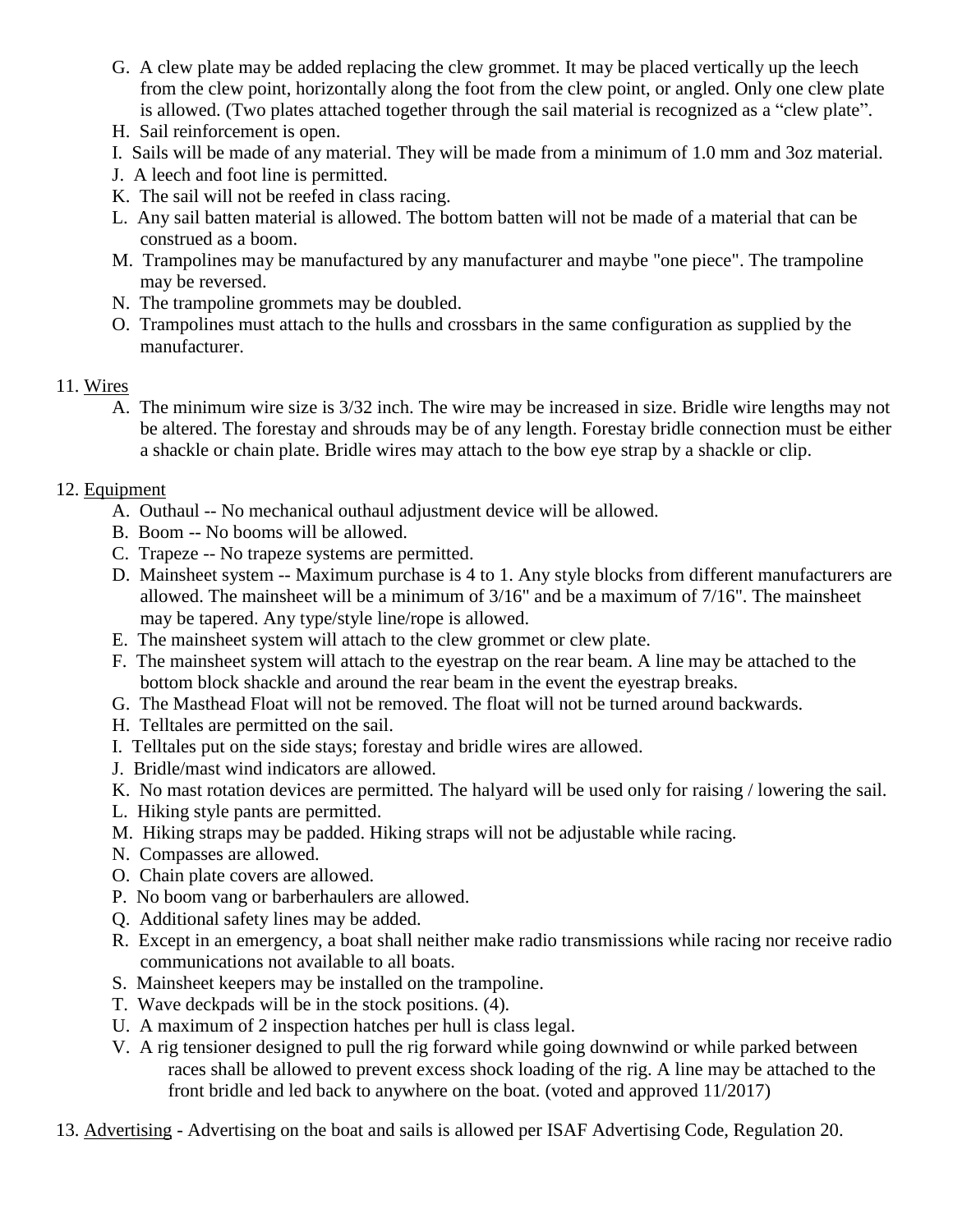- G. A clew plate may be added replacing the clew grommet. It may be placed vertically up the leech from the clew point, horizontally along the foot from the clew point, or angled. Only one clew plate is allowed. (Two plates attached together through the sail material is recognized as a "clew plate".
- H. Sail reinforcement is open.
- I. Sails will be made of any material. They will be made from a minimum of 1.0 mm and 3oz material.
- J. A leech and foot line is permitted.
- K. The sail will not be reefed in class racing.
- L. Any sail batten material is allowed. The bottom batten will not be made of a material that can be construed as a boom.
- M. Trampolines may be manufactured by any manufacturer and maybe "one piece". The trampoline may be reversed.
- N. The trampoline grommets may be doubled.
- O. Trampolines must attach to the hulls and crossbars in the same configuration as supplied by the manufacturer.

#### 11. Wires

A. The minimum wire size is 3/32 inch. The wire may be increased in size. Bridle wire lengths may not be altered. The forestay and shrouds may be of any length. Forestay bridle connection must be either a shackle or chain plate. Bridle wires may attach to the bow eye strap by a shackle or clip.

### 12. Equipment

- A. Outhaul -- No mechanical outhaul adjustment device will be allowed.
- B. Boom -- No booms will be allowed.
- C. Trapeze -- No trapeze systems are permitted.
- D. Mainsheet system -- Maximum purchase is 4 to 1. Any style blocks from different manufacturers are allowed. The mainsheet will be a minimum of 3/16" and be a maximum of 7/16". The mainsheet may be tapered. Any type/style line/rope is allowed.
- E. The mainsheet system will attach to the clew grommet or clew plate.
- F. The mainsheet system will attach to the eyestrap on the rear beam. A line may be attached to the bottom block shackle and around the rear beam in the event the eyestrap breaks.
- G. The Masthead Float will not be removed. The float will not be turned around backwards.
- H. Telltales are permitted on the sail.
- I. Telltales put on the side stays; forestay and bridle wires are allowed.
- J. Bridle/mast wind indicators are allowed.
- K. No mast rotation devices are permitted. The halyard will be used only for raising / lowering the sail.
- L. Hiking style pants are permitted.
- M. Hiking straps may be padded. Hiking straps will not be adjustable while racing.
- N. Compasses are allowed.
- O. Chain plate covers are allowed.
- P. No boom vang or barberhaulers are allowed.
- Q. Additional safety lines may be added.
- R. Except in an emergency, a boat shall neither make radio transmissions while racing nor receive radio communications not available to all boats.
- S. Mainsheet keepers may be installed on the trampoline.
- T. Wave deckpads will be in the stock positions. (4).
- U. A maximum of 2 inspection hatches per hull is class legal.
- V. A rig tensioner designed to pull the rig forward while going downwind or while parked between races shall be allowed to prevent excess shock loading of the rig. A line may be attached to the front bridle and led back to anywhere on the boat. (voted and approved 11/2017)
- 13. Advertising Advertising on the boat and sails is allowed per ISAF Advertising Code, Regulation 20.